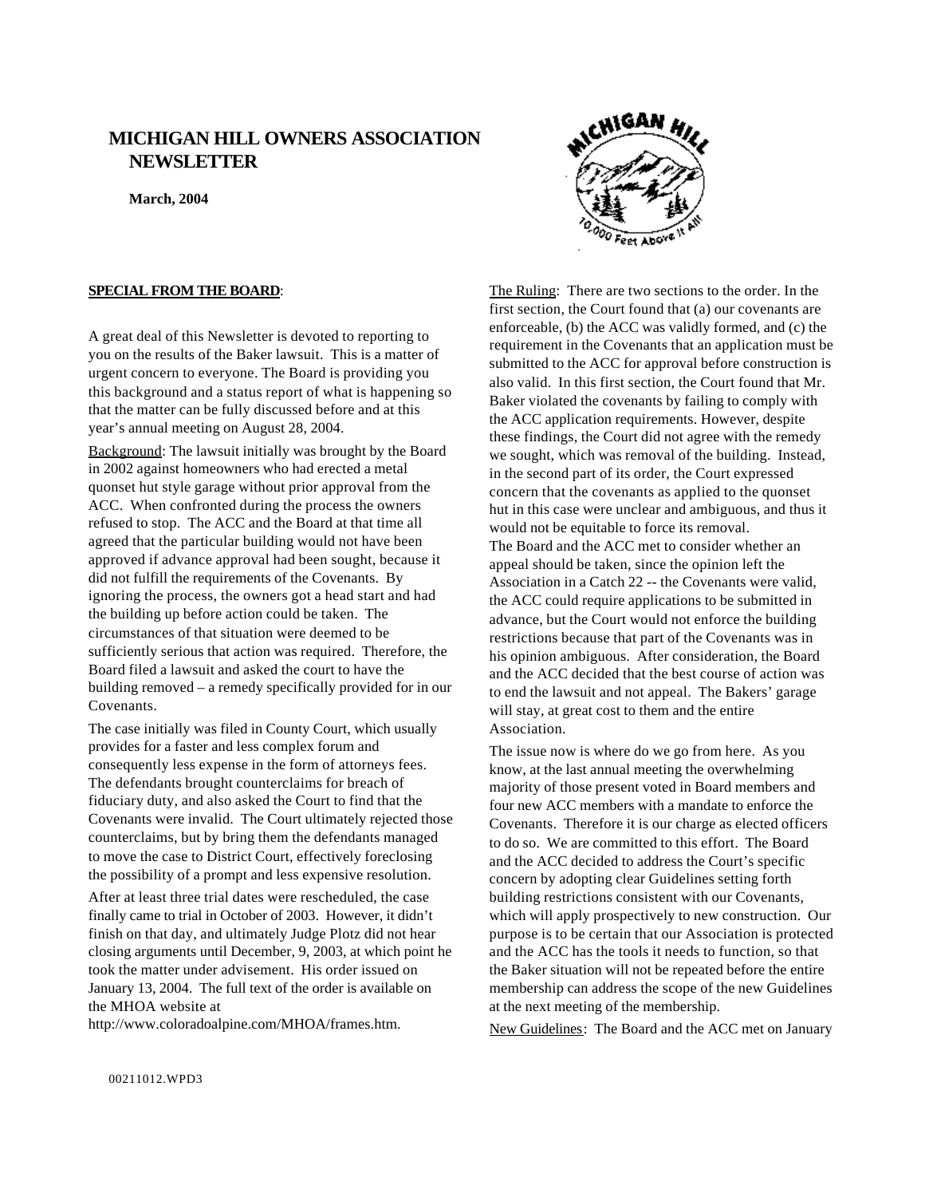# **MICHIGAN HILL OWNERS ASSOCIATION NEWSLETTER**

**March, 2004**

## **SPECIAL FROM THE BOARD**:

A great deal of this Newsletter is devoted to reporting to you on the results of the Baker lawsuit. This is a matter of urgent concern to everyone. The Board is providing you this background and a status report of what is happening so that the matter can be fully discussed before and at this year's annual meeting on August 28, 2004.

Background: The lawsuit initially was brought by the Board in 2002 against homeowners who had erected a metal quonset hut style garage without prior approval from the ACC. When confronted during the process the owners refused to stop. The ACC and the Board at that time all agreed that the particular building would not have been approved if advance approval had been sought, because it did not fulfill the requirements of the Covenants. By ignoring the process, the owners got a head start and had the building up before action could be taken. The circumstances of that situation were deemed to be sufficiently serious that action was required. Therefore, the Board filed a lawsuit and asked the court to have the building removed – a remedy specifically provided for in our Covenants.

The case initially was filed in County Court, which usually provides for a faster and less complex forum and consequently less expense in the form of attorneys fees. The defendants brought counterclaims for breach of fiduciary duty, and also asked the Court to find that the Covenants were invalid. The Court ultimately rejected those counterclaims, but by bring them the defendants managed to move the case to District Court, effectively foreclosing the possibility of a prompt and less expensive resolution.

After at least three trial dates were rescheduled, the case finally came to trial in October of 2003. However, it didn't finish on that day, and ultimately Judge Plotz did not hear closing arguments until December, 9, 2003, at which point he took the matter under advisement. His order issued on January 13, 2004. The full text of the order is available on the MHOA website at

http://www.coloradoalpine.com/MHOA/frames.htm.



The Ruling: There are two sections to the order. In the first section, the Court found that (a) our covenants are enforceable, (b) the ACC was validly formed, and (c) the requirement in the Covenants that an application must be submitted to the ACC for approval before construction is also valid. In this first section, the Court found that Mr. Baker violated the covenants by failing to comply with the ACC application requirements. However, despite these findings, the Court did not agree with the remedy we sought, which was removal of the building. Instead, in the second part of its order, the Court expressed concern that the covenants as applied to the quonset hut in this case were unclear and ambiguous, and thus it would not be equitable to force its removal. The Board and the ACC met to consider whether an appeal should be taken, since the opinion left the Association in a Catch 22 -- the Covenants were valid, the ACC could require applications to be submitted in advance, but the Court would not enforce the building restrictions because that part of the Covenants was in his opinion ambiguous. After consideration, the Board and the ACC decided that the best course of action was to end the lawsuit and not appeal. The Bakers' garage will stay, at great cost to them and the entire Association.

The issue now is where do we go from here. As you know, at the last annual meeting the overwhelming majority of those present voted in Board members and four new ACC members with a mandate to enforce the Covenants. Therefore it is our charge as elected officers to do so. We are committed to this effort. The Board and the ACC decided to address the Court's specific concern by adopting clear Guidelines setting forth building restrictions consistent with our Covenants, which will apply prospectively to new construction. Our purpose is to be certain that our Association is protected and the ACC has the tools it needs to function, so that the Baker situation will not be repeated before the entire membership can address the scope of the new Guidelines at the next meeting of the membership.

New Guidelines: The Board and the ACC met on January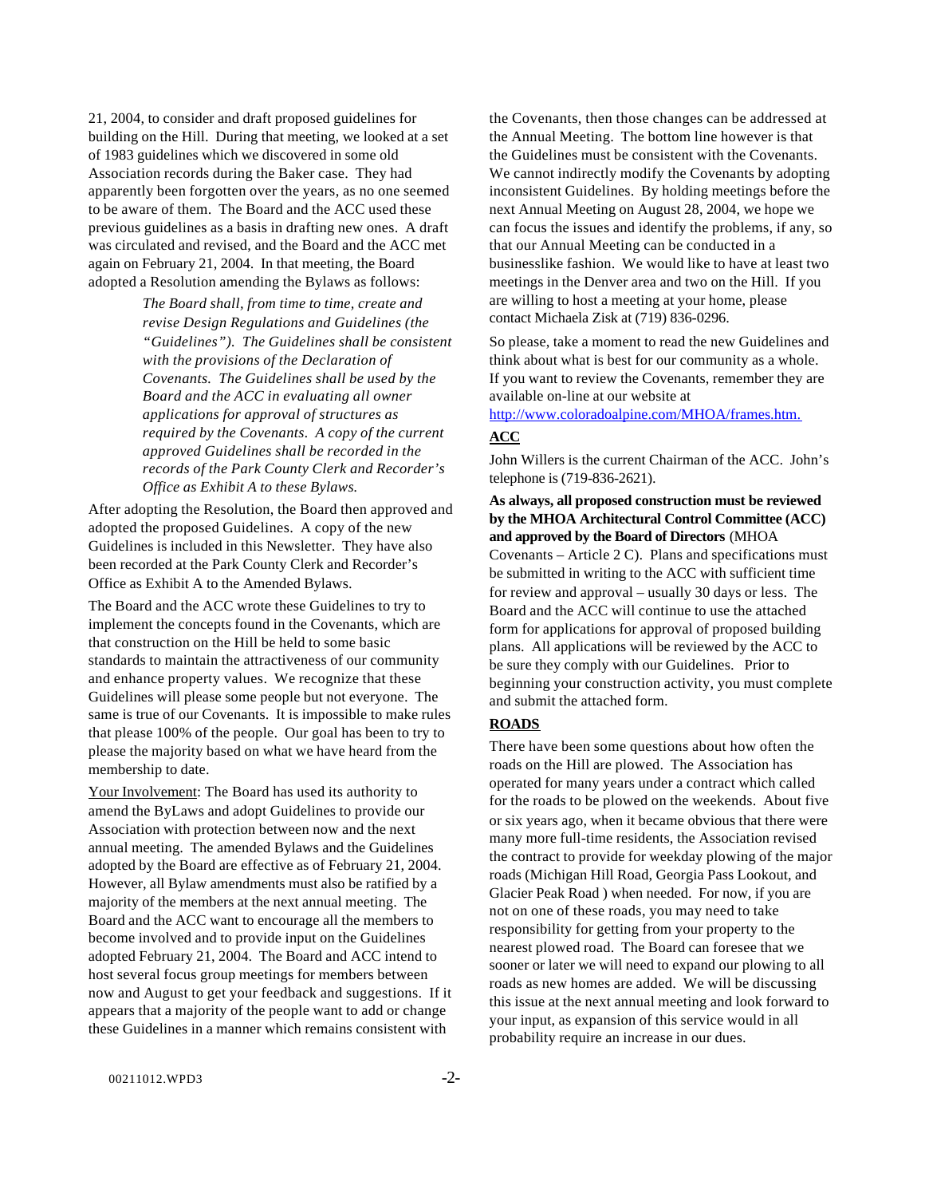21, 2004, to consider and draft proposed guidelines for building on the Hill. During that meeting, we looked at a set of 1983 guidelines which we discovered in some old Association records during the Baker case. They had apparently been forgotten over the years, as no one seemed to be aware of them. The Board and the ACC used these previous guidelines as a basis in drafting new ones. A draft was circulated and revised, and the Board and the ACC met again on February 21, 2004. In that meeting, the Board adopted a Resolution amending the Bylaws as follows:

> *The Board shall, from time to time, create and revise Design Regulations and Guidelines (the "Guidelines"). The Guidelines shall be consistent with the provisions of the Declaration of Covenants. The Guidelines shall be used by the Board and the ACC in evaluating all owner applications for approval of structures as required by the Covenants. A copy of the current approved Guidelines shall be recorded in the records of the Park County Clerk and Recorder's Office as Exhibit A to these Bylaws.*

After adopting the Resolution, the Board then approved and adopted the proposed Guidelines. A copy of the new Guidelines is included in this Newsletter. They have also been recorded at the Park County Clerk and Recorder's Office as Exhibit A to the Amended Bylaws.

The Board and the ACC wrote these Guidelines to try to implement the concepts found in the Covenants, which are that construction on the Hill be held to some basic standards to maintain the attractiveness of our community and enhance property values. We recognize that these Guidelines will please some people but not everyone. The same is true of our Covenants. It is impossible to make rules that please 100% of the people. Our goal has been to try to please the majority based on what we have heard from the membership to date.

Your Involvement: The Board has used its authority to amend the ByLaws and adopt Guidelines to provide our Association with protection between now and the next annual meeting. The amended Bylaws and the Guidelines adopted by the Board are effective as of February 21, 2004. However, all Bylaw amendments must also be ratified by a majority of the members at the next annual meeting. The Board and the ACC want to encourage all the members to become involved and to provide input on the Guidelines adopted February 21, 2004. The Board and ACC intend to host several focus group meetings for members between now and August to get your feedback and suggestions. If it appears that a majority of the people want to add or change these Guidelines in a manner which remains consistent with

the Covenants, then those changes can be addressed at the Annual Meeting. The bottom line however is that the Guidelines must be consistent with the Covenants. We cannot indirectly modify the Covenants by adopting inconsistent Guidelines. By holding meetings before the next Annual Meeting on August 28, 2004, we hope we can focus the issues and identify the problems, if any, so that our Annual Meeting can be conducted in a businesslike fashion. We would like to have at least two meetings in the Denver area and two on the Hill. If you are willing to host a meeting at your home, please contact Michaela Zisk at (719) 836-0296.

So please, take a moment to read the new Guidelines and think about what is best for our community as a whole. If you want to review the Covenants, remember they are available on-line at our website at

http://www.coloradoalpine.com/MHOA/frames.htm.

## **ACC**

John Willers is the current Chairman of the ACC. John's telephone is (719-836-2621).

**As always, all proposed construction must be reviewed by the MHOA Architectural Control Committee (ACC) and approved by the Board of Directors** (MHOA Covenants – Article 2 C). Plans and specifications must be submitted in writing to the ACC with sufficient time for review and approval – usually 30 days or less. The Board and the ACC will continue to use the attached form for applications for approval of proposed building plans. All applications will be reviewed by the ACC to be sure they comply with our Guidelines. Prior to beginning your construction activity, you must complete and submit the attached form.

## **ROADS**

There have been some questions about how often the roads on the Hill are plowed. The Association has operated for many years under a contract which called for the roads to be plowed on the weekends. About five or six years ago, when it became obvious that there were many more full-time residents, the Association revised the contract to provide for weekday plowing of the major roads (Michigan Hill Road, Georgia Pass Lookout, and Glacier Peak Road ) when needed. For now, if you are not on one of these roads, you may need to take responsibility for getting from your property to the nearest plowed road. The Board can foresee that we sooner or later we will need to expand our plowing to all roads as new homes are added. We will be discussing this issue at the next annual meeting and look forward to your input, as expansion of this service would in all probability require an increase in our dues.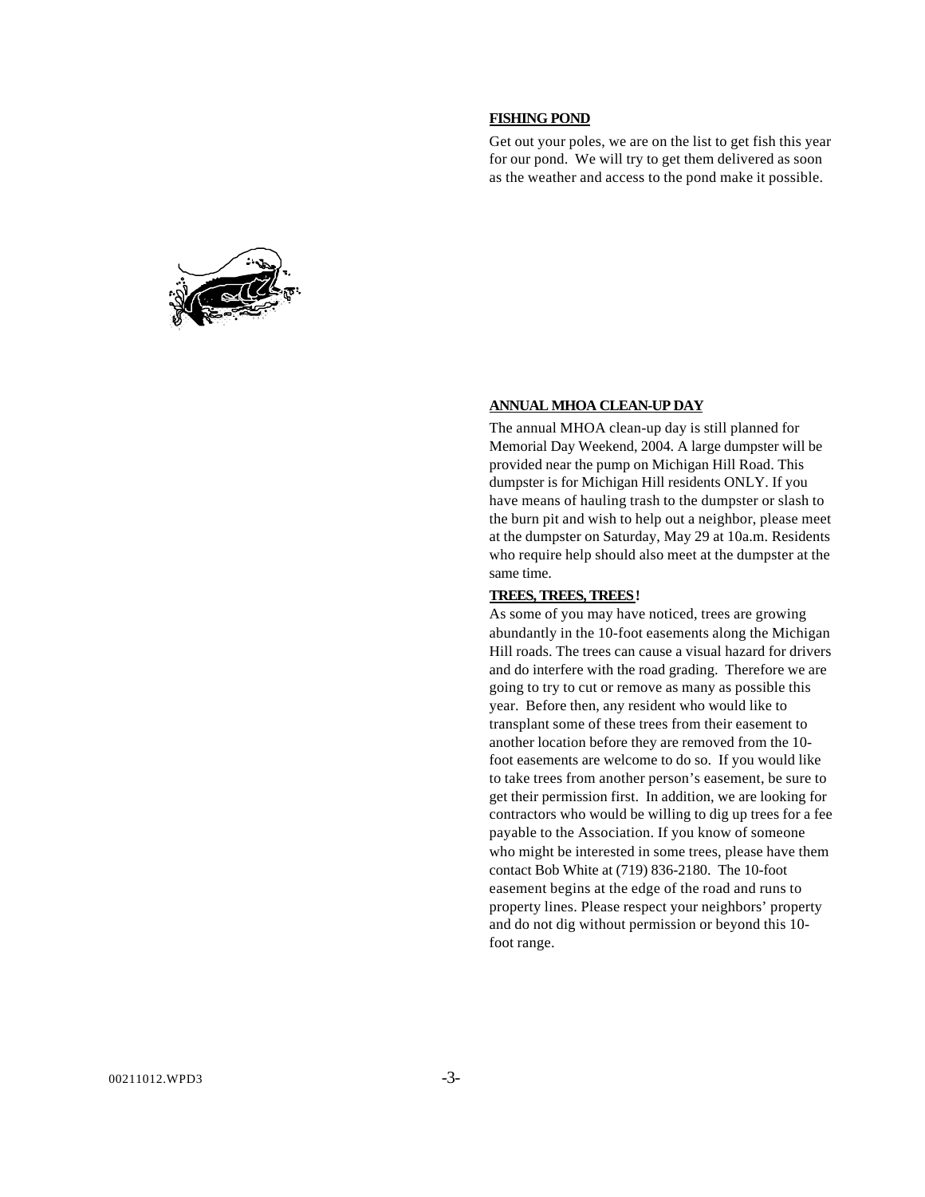### **FISHING POND**

Get out your poles, we are on the list to get fish this year for our pond. We will try to get them delivered as soon as the weather and access to the pond make it possible.



### **ANNUAL MHOA CLEAN-UP DAY**

The annual MHOA clean-up day is still planned for Memorial Day Weekend, 2004. A large dumpster will be provided near the pump on Michigan Hill Road. This dumpster is for Michigan Hill residents ONLY. If you have means of hauling trash to the dumpster or slash to the burn pit and wish to help out a neighbor, please meet at the dumpster on Saturday, May 29 at 10a.m. Residents who require help should also meet at the dumpster at the same time.

### **TREES, TREES, TREES!**

As some of you may have noticed, trees are growing abundantly in the 10-foot easements along the Michigan Hill roads. The trees can cause a visual hazard for drivers and do interfere with the road grading. Therefore we are going to try to cut or remove as many as possible this year. Before then, any resident who would like to transplant some of these trees from their easement to another location before they are removed from the 10 foot easements are welcome to do so. If you would like to take trees from another person's easement, be sure to get their permission first. In addition, we are looking for contractors who would be willing to dig up trees for a fee payable to the Association. If you know of someone who might be interested in some trees, please have them contact Bob White at (719) 836-2180. The 10-foot easement begins at the edge of the road and runs to property lines. Please respect your neighbors' property and do not dig without permission or beyond this 10 foot range.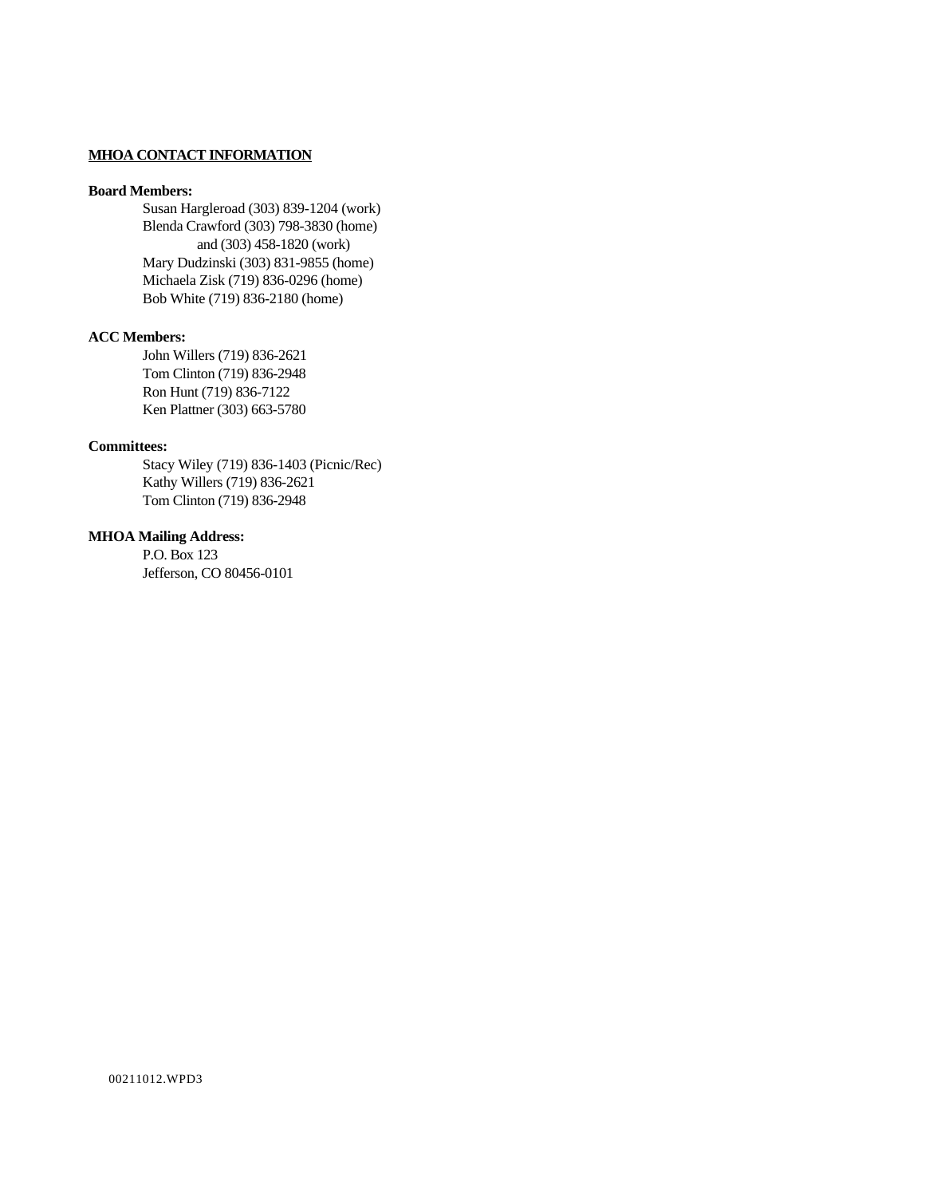## **MHOA CONTACT INFORMATION**

### **Board Members:**

Susan Hargleroad (303) 839-1204 (work) Blenda Crawford (303) 798-3830 (home) and (303) 458-1820 (work) Mary Dudzinski (303) 831-9855 (home) Michaela Zisk (719) 836-0296 (home) Bob White (719) 836-2180 (home)

## **ACC Members:**

John Willers (719) 836-2621 Tom Clinton (719) 836-2948 Ron Hunt (719) 836-7122 Ken Plattner (303) 663-5780

### **Committees:**

Stacy Wiley (719) 836-1403 (Picnic/Rec) Kathy Willers (719) 836-2621 Tom Clinton (719) 836-2948

## **MHOA Mailing Address:**

P.O. Box 123 Jefferson, CO 80456-0101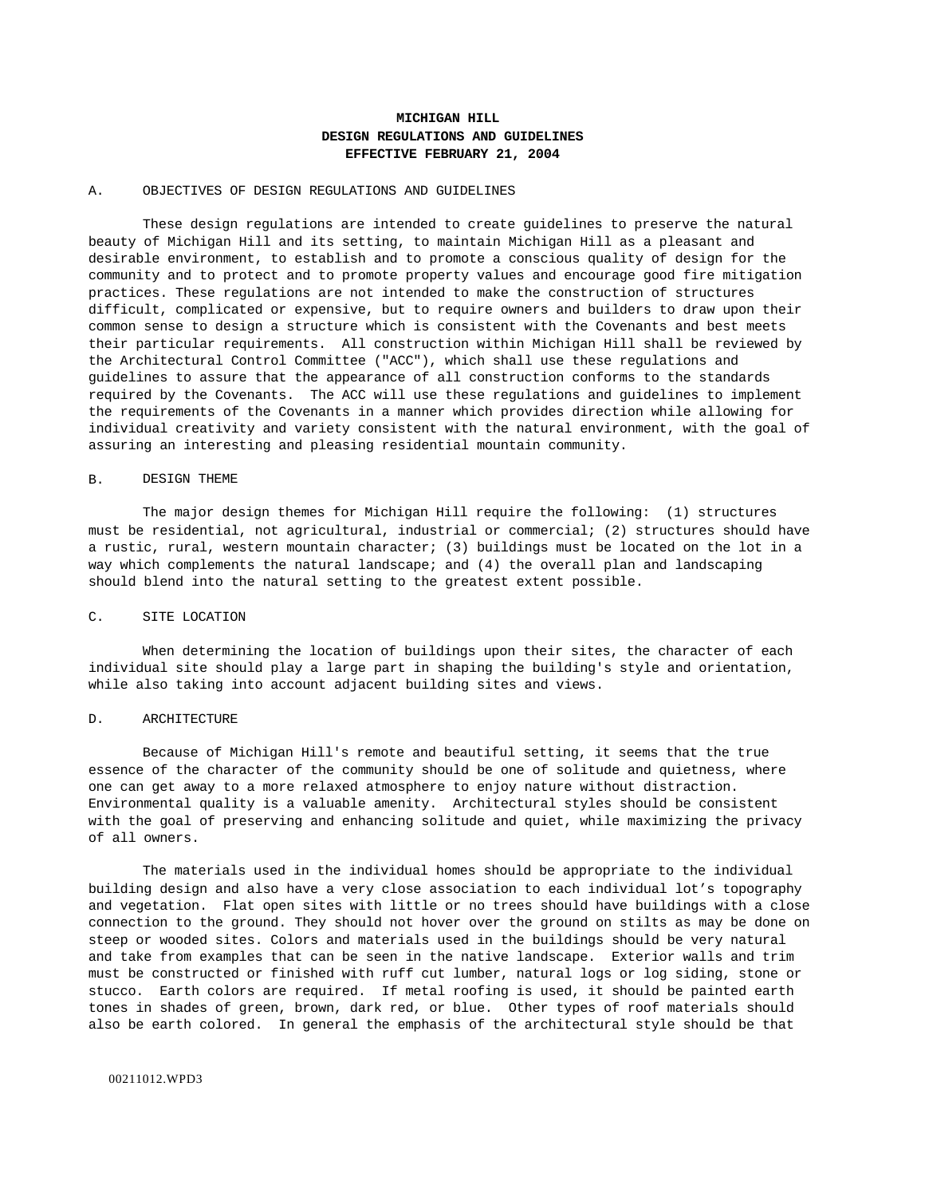## **MICHIGAN HILL DESIGN REGULATIONS AND GUIDELINES EFFECTIVE FEBRUARY 21, 2004**

### A. OBJECTIVES OF DESIGN REGULATIONS AND GUIDELINES

These design regulations are intended to create guidelines to preserve the natural beauty of Michigan Hill and its setting, to maintain Michigan Hill as a pleasant and desirable environment, to establish and to promote a conscious quality of design for the community and to protect and to promote property values and encourage good fire mitigation practices. These regulations are not intended to make the construction of structures difficult, complicated or expensive, but to require owners and builders to draw upon their common sense to design a structure which is consistent with the Covenants and best meets their particular requirements. All construction within Michigan Hill shall be reviewed by the Architectural Control Committee ("ACC"), which shall use these regulations and guidelines to assure that the appearance of all construction conforms to the standards required by the Covenants. The ACC will use these regulations and guidelines to implement the requirements of the Covenants in a manner which provides direction while allowing for individual creativity and variety consistent with the natural environment, with the goal of assuring an interesting and pleasing residential mountain community.

### B. DESIGN THEME

The major design themes for Michigan Hill require the following: (1) structures must be residential, not agricultural, industrial or commercial; (2) structures should have a rustic, rural, western mountain character; (3) buildings must be located on the lot in a way which complements the natural landscape; and (4) the overall plan and landscaping should blend into the natural setting to the greatest extent possible.

#### C. SITE LOCATION

When determining the location of buildings upon their sites, the character of each individual site should play a large part in shaping the building's style and orientation, while also taking into account adjacent building sites and views.

#### D. ARCHITECTURE

Because of Michigan Hill's remote and beautiful setting, it seems that the true essence of the character of the community should be one of solitude and quietness, where one can get away to a more relaxed atmosphere to enjoy nature without distraction. Environmental quality is a valuable amenity. Architectural styles should be consistent with the goal of preserving and enhancing solitude and quiet, while maximizing the privacy of all owners.

The materials used in the individual homes should be appropriate to the individual building design and also have a very close association to each individual lot's topography and vegetation. Flat open sites with little or no trees should have buildings with a close connection to the ground. They should not hover over the ground on stilts as may be done on steep or wooded sites. Colors and materials used in the buildings should be very natural and take from examples that can be seen in the native landscape. Exterior walls and trim must be constructed or finished with ruff cut lumber, natural logs or log siding, stone or stucco. Earth colors are required. If metal roofing is used, it should be painted earth tones in shades of green, brown, dark red, or blue. Other types of roof materials should also be earth colored. In general the emphasis of the architectural style should be that

### 00211012.WPD3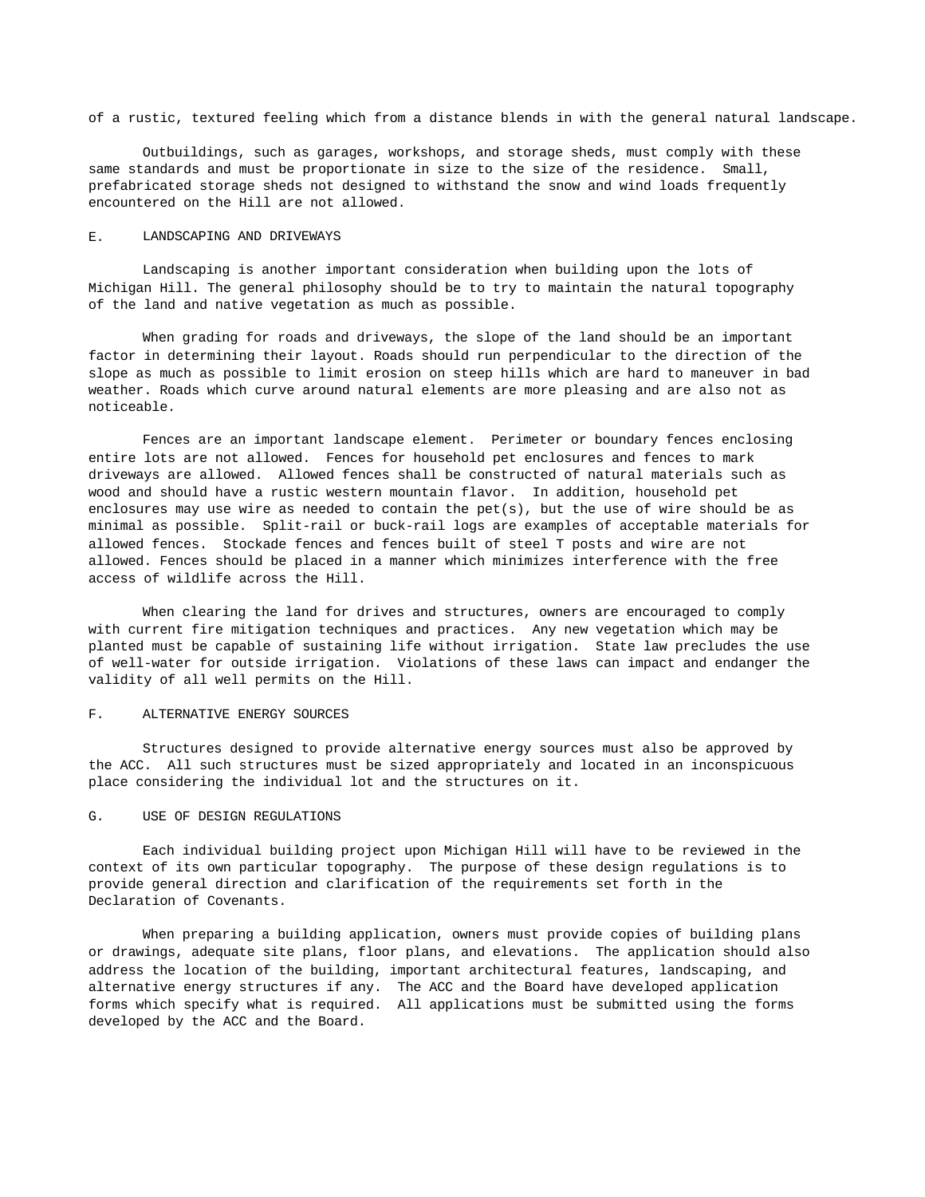of a rustic, textured feeling which from a distance blends in with the general natural landscape.

Outbuildings, such as garages, workshops, and storage sheds, must comply with these same standards and must be proportionate in size to the size of the residence. Small, prefabricated storage sheds not designed to withstand the snow and wind loads frequently encountered on the Hill are not allowed.

### E. LANDSCAPING AND DRIVEWAYS

Landscaping is another important consideration when building upon the lots of Michigan Hill. The general philosophy should be to try to maintain the natural topography of the land and native vegetation as much as possible.

When grading for roads and driveways, the slope of the land should be an important factor in determining their layout. Roads should run perpendicular to the direction of the slope as much as possible to limit erosion on steep hills which are hard to maneuver in bad weather. Roads which curve around natural elements are more pleasing and are also not as noticeable.

Fences are an important landscape element. Perimeter or boundary fences enclosing entire lots are not allowed. Fences for household pet enclosures and fences to mark driveways are allowed. Allowed fences shall be constructed of natural materials such as wood and should have a rustic western mountain flavor. In addition, household pet enclosures may use wire as needed to contain the  $pet(s)$ , but the use of wire should be as minimal as possible. Split-rail or buck-rail logs are examples of acceptable materials for allowed fences. Stockade fences and fences built of steel T posts and wire are not allowed. Fences should be placed in a manner which minimizes interference with the free access of wildlife across the Hill.

When clearing the land for drives and structures, owners are encouraged to comply with current fire mitigation techniques and practices. Any new vegetation which may be planted must be capable of sustaining life without irrigation. State law precludes the use of well-water for outside irrigation. Violations of these laws can impact and endanger the validity of all well permits on the Hill.

#### F. ALTERNATIVE ENERGY SOURCES

Structures designed to provide alternative energy sources must also be approved by the ACC. All such structures must be sized appropriately and located in an inconspicuous place considering the individual lot and the structures on it.

### G. USE OF DESIGN REGULATIONS

Each individual building project upon Michigan Hill will have to be reviewed in the context of its own particular topography. The purpose of these design regulations is to provide general direction and clarification of the requirements set forth in the Declaration of Covenants.

When preparing a building application, owners must provide copies of building plans or drawings, adequate site plans, floor plans, and elevations. The application should also address the location of the building, important architectural features, landscaping, and alternative energy structures if any. The ACC and the Board have developed application forms which specify what is required. All applications must be submitted using the forms developed by the ACC and the Board.